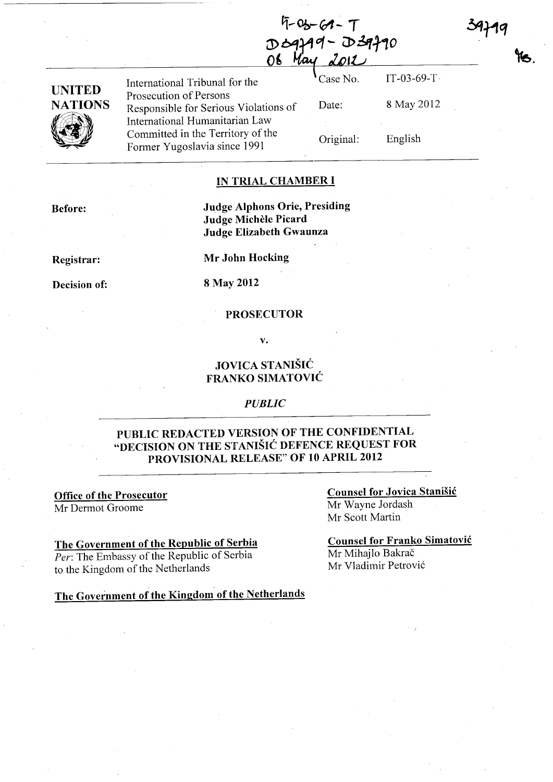**Г-06-61− Т** DO9799-D39790 May

| UNITED  |
|---------|
| NATIONS |
|         |

Prosecution of Persons Responsible for Serious Violations of International Humanitarian Law Committed in the Territory of the Former Yugoslavia since 1991

International Tribunal for the  $\bigcirc$  Case No. IT-03-69-T Date: Original: 8 May 2012

English

### IN TRIAL CHAMBER **I**

Before:

### Judge Alphons Orie, Presiding Judge Michele Picard Judge Elizabeth Gwaunza

Registrar:

Decision of:

Mr John Hocking

8 May 2012

#### PROSECUTOR

v.

## JOVICA STANISIC FRANKO SIMATOVIC

#### *PUBLIC*

## PUBLIC REDACTED VERSION OF THE CONFIDENTIAL "DECISION ON THE STANISIC DEFENCE REQUEST FOR PROVISIONAL RELEASE" OF 10 APRIL 2012

Office of the Prosecutor Mr Dermot Groome

#### The Government of the Republic of Serbia

*Per:* The Embassy of the Republic of Serbia to the Kingdom of the Netherlands

Counsel for Jovica Stanisic Mr Wayne Jordash Mr Scott Martin

Counsel for Franko Simatovic Mr Mihajlo Bakrač Mr V1adimir Petrovi6

The Government of the Kingdom of the Netherlands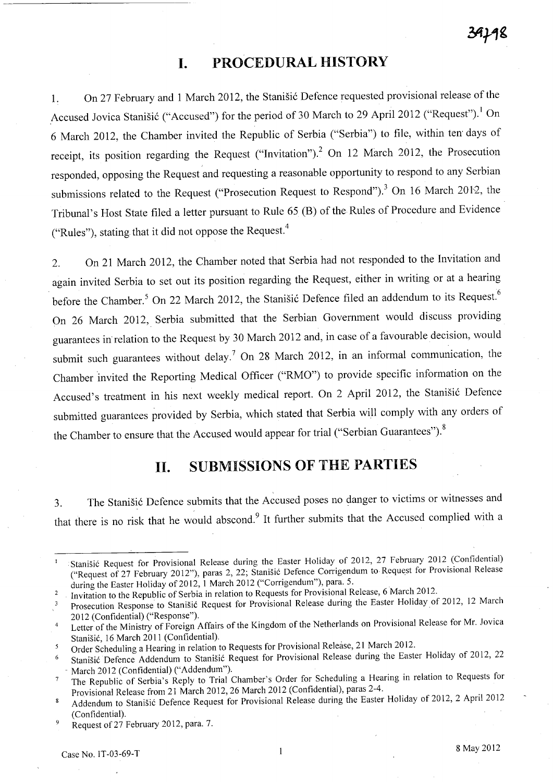# **I. PROCEDURAL HISTORY**

1. On 27 February and 1 March 2012, the Stanisic Defence requested provisional release of the Accused Jovica Stanišić ("Accused") for the period of 30 March to 29 April 2012 ("Request").<sup>1</sup> On 6 March 2012, the Chamber invited the Republic of Serbia ("Serbia") to file, within ten' days of receipt, its position regarding the Request ("Invitation").<sup>2</sup> On 12 March 2012, the Prosecution responded, opposing the Request and requesting a reasonable opportunity to respond to any Serbian submissions related to the Request ("Prosecution Request to Respond").<sup>3</sup> On 16 March 2012, the Tribunal's Host State filed a letter pursuant to Rule 65 (B) of the Rules of Procedure and Evidence ("Rules"), stating that it did not oppose the Request. <sup>4</sup>

2. On 21 March 2012, the Chamber noted that Serbia had not responded to the Invitation and again invited Serbia to set out its position regarding the Request, either in writing or at a hearing before the Chamber.<sup>5</sup> On 22 March 2012, the Stanišić Defence filed an addendum to its Request.<sup>6</sup> On 26 March 2012, Serbia submitted that the Serbian Government would discuss providing guarantees in' relation to the Request by 30 March 2012 and, in case of a favourable decision, would submit such guarantees without delay.<sup>7</sup> On 28 March 2012, in an informal communication, the Chamber invited the Reporting Medical Officer ("RMO") to provide specific information on the Accused's treatment in his next weekly medical report. On 2 April 2012, the Stanisic Defence submitted guarantees provided by Serbia, which stated that Serbia will comply with any orders of the Chamber to ensure that the Accused would appear for trial ("Serbian Guarantees").<sup>8</sup>

# **II. SUBMISSIONS OF THE PARTIES**

3. The Stanisic Defence submits that the Accused poses no danger to victims or witnesses and that there is no risk that he would abscond.<sup>9</sup> It further submits that the Accused complied with a

Stanišić Request for Provisional Release during the Easter Holiday of 2012, 27 February 2012 (Confidential) ("Request of 27 February 2012"), paras 2, 22; Stanisi6 Defence Corrigendum to Request for Provisional Release during the Easter Holiday of 2012, 1 March 2012 ("Corrigendum"), para. 5.

Invitation to the Republic of Serbia in relation to Requests for Provisional Release, 6 March 2012.  $\overline{2}$ 

Prosecution Response to Stanišić Request for Provisional Release during the Easter Holiday of 2012, 12 March  $\overline{\mathbf{3}}$ 2012 (Confidential) ("Response").

Letter of the Ministry of Foreign Affairs of the Kingdom of the Netherlands on Provisional Release for Mr. Jovica  $\overline{4}$ Stanišić, 16 March 2011 (Confidential).

Order Scheduling a Hearing in relation to Requests for Provisional Release, 21 March 2012.  $\mathfrak{s}$ 

Stanišić Defence Addendum to Stanišić Request for Provisional Release during the Easter Holiday of 2012, 22 March 2012 (Confidential) ("Addendum").

The Republic of Serbia's Reply to Trial Chamber's Order for Scheduling a Hearing in relation to Requests for  $\overline{7}$ Provisional Release from 21 March 2012, 26 March 2012 (Confidential), paras 2-4.

Addendum to Stanišić Defence Request for Provisional Release during the Easter Holiday of 2012, 2 April 2012 8 (Confidential).

Request of 27 February 2012, para. 7. **g**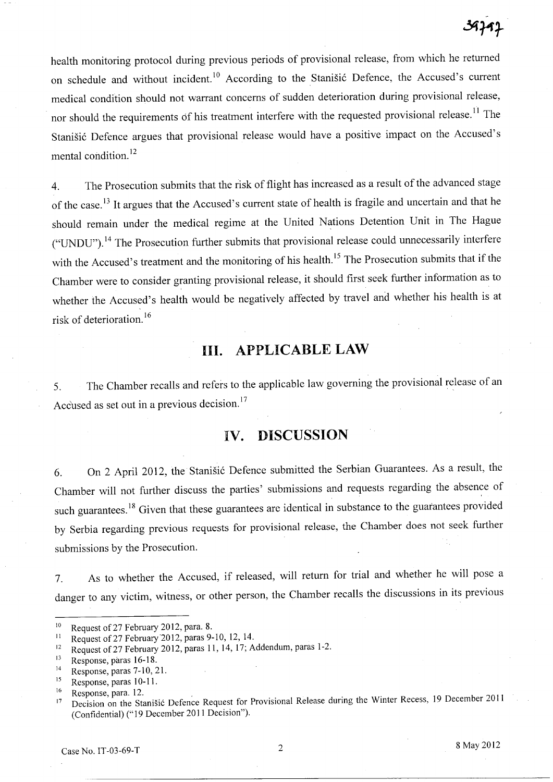health monitoring protocol during previous periods of provisional release, from which he returned on schedule and without incident.<sup>10</sup> According to the Stanišić Defence, the Accused's current medical condition should not warrant concerns of sudden deterioration during provisional release, nor should the requirements of his treatment interfere with the requested provisional release.<sup>11</sup> The Stanišić Defence argues that provisional release would have a positive impact on the Accused's mental condition. 12

4. The Prosecution submits that the risk of flight has increased as a result of the advanced stage of the case.<sup>13</sup> It argues that the Accused's current state of health is fragile and uncertain and that he should remain under the medical regime at the United Nations Detention Unit in The Hague ("UNDU").<sup>14</sup> The Prosecution further submits that provisional release could unnecessarily interfere with the Accused's treatment and the monitoring of his health.<sup>15</sup> The Prosecution submits that if the Chamber were to consider granting provisional release, it should first seek further information as to whether the Accused's health would be negatively affected by travel and whether his health is at risk of deterioration. 16

# **Ill. APPLICABLE LAW**

5. The Chamber recalls and refers to the applicable law governing the provisional release of an Accused as set out in a previous decision.<sup>17</sup>

# **IV. DISCUSSION**

6. On 2 April 2012, the Stanišić Defence submitted the Serbian Guarantees. As a result, the Chamber will not further discuss the parties' submissions and requests regarding the absence of such guarantees.<sup>18</sup> Given that these guarantees are identical in substance to the guarantees provided by Serbia regarding previous requests for provisional release, the Chamber does not seek further submissions by the Prosecution.

7. As to whether the Accused, if released, will return for trial and whether he will pose a danger to any victim, witness, or other person, the Chamber recalls the discussions in its previous

<sup>&</sup>lt;sup>10</sup> Request of 27 February 2012, para. 8.

<sup>&</sup>lt;sup>11</sup> Request of 27 February 2012, paras 9-10, 12, 14.

<sup>&</sup>lt;sup>12</sup> Request of 27 February 2012, paras 11, 14, 17; Addendum, paras 1-2.

<sup>13</sup> Response, paras 16-18.

<sup>14</sup> Response, paras 7-10, 21.

<sup>15</sup> Response, paras 10-11.

 $^{16}$  Response, para. 12.

<sup>17</sup> Decision on the Stanisi6 Defence Request for Provisional Release during the Winter Recess, 19 December **2011**  (Confidential) (" 19 December **2011** Decision").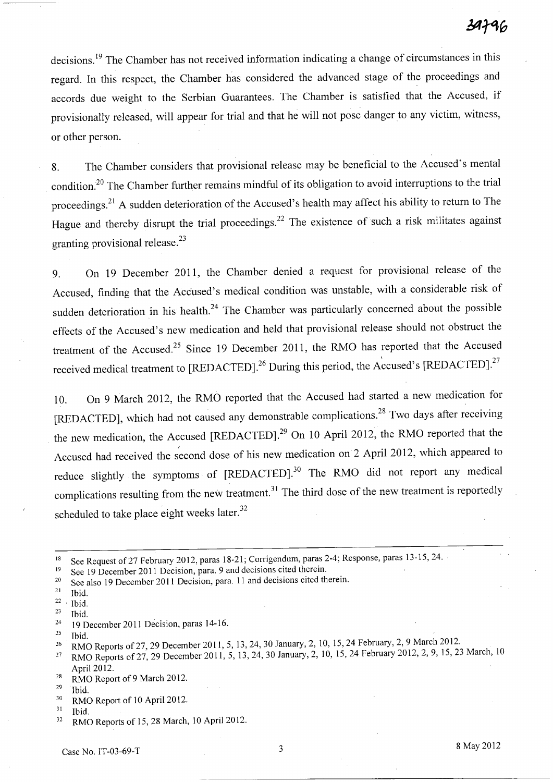decisions. 19 The Chamber has not received information indicating a change of circumstances in this regard. In this respect, the Chamber has considered the advanced stage of the proceedings and accords due weight to the Serbian Guarantees. The Chamber is satisfied that the Accused, if provisionally released, will appear for trial and that he will not pose danger to any victim, witness, or other person.

8. The Chamber considers that provisional release may be beneficial to the Accused's mental condition.<sup>20</sup> The Chamber further remains mindful of its obligation to avoid interruptions to the trial proceedings.<sup>21</sup> A sudden deterioration of the Accused's health may affect his ability to return to The Hague and thereby disrupt the trial proceedings.<sup>22</sup> The existence of such a risk militates against granting provisional release.<sup>23</sup>

9. On 19 December 2011, the Chamber denied a request for provisional release of the Accused, finding that the Accused's medical condition was unstable, with a considerable risk of sudden deterioration in his health.<sup>24</sup> The Chamber was particularly concerned about the possible effects of the Accused's new medication and held that provisional release should not obstruct the treatment of the Accused.<sup>25</sup> Since 19 December 2011, the RMO has reported that the Accused received medical treatment to [REDACTED].<sup>26</sup> During this period, the Accused's [REDACTED].<sup>27</sup>

10. On 9 March 2012, the RMO reported that the Accused had started a new medication for [REDACTED], which had not caused any demonstrable complications.<sup>28</sup> Two days after receiving the new medication, the Accused [REDACTED].<sup>29</sup> On 10 April 2012, the RMO reported that the Accused had received the second dose of his new medication on 2 April 2012, which appeared to reduce slightly the symptoms of [REDACTED].<sup>30</sup> The RMO did not report any medical complications resulting from the new treatment.<sup>31</sup> The third dose of the new treatment is reportedly scheduled to take place eight weeks later. $32$ 

- 19 See 19 December 2011 Decision, para. 9 and decisions cited therein.
- <sup>20</sup> See also 19 December 2011 Decision, para. 11 and decisions cited therein.

- $22 \cdot$  Ibid.
- $23$  Ibid.
- <sup>24</sup> 19 December 2011 Decision, paras 14-16.
- $25$  Ibid.
- <sup>26</sup> RMO Reports of 27, 29 December 2011, 5, 13, 24, 30 January, 2, 10, 15, 24 February, 2, 9 March 2012.
- <sup>27</sup> RMO Reports of 27, 29 December 2011, 5, 13, 24, 30 January, 2, 10, 15, 24 February 2012, 2, 9, 15, 23 March, 10 April 2012.
- <sup>28</sup> RMO Report of 9 March 2012.
- $29$  Ibid.
- 30 RMO Report of 10 April 2012.
- $31$  Ibid.
- <sup>32</sup> RMO Reports of 15, 28 March, 10 April 2012.

<sup>&</sup>lt;sup>18</sup> See Request of 27 February 2012, paras 18-21; Corrigendum, paras 2-4; Response, paras 13-15, 24.

 $21$  Ibid.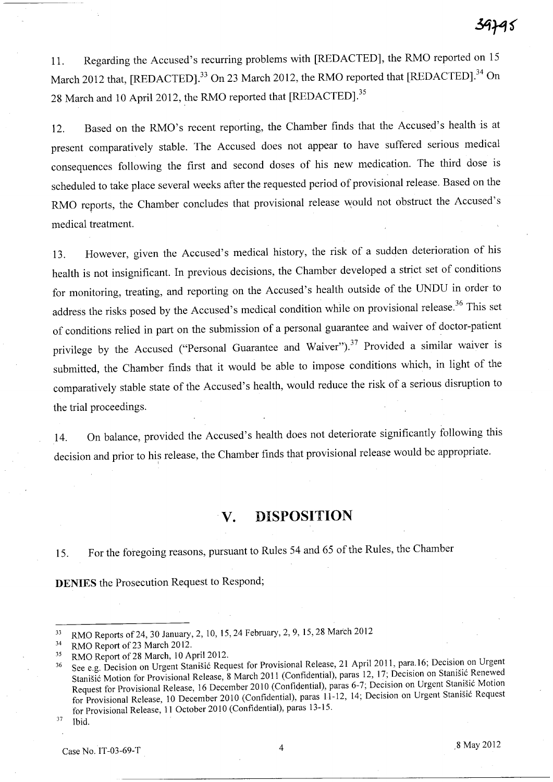11. Regarding the Accused's recurring problems with [REDACTED], the RMO reported on 15 March 2012 that, [REDACTED].<sup>33</sup> On 23 March 2012, the RMO reported that [REDACTED].<sup>34</sup> On 28 March and 10 April 2012, the RMO reported that [REDACTED].<sup>35</sup>

12. Based on the RMO's recent reporting, the Chamber finds that the Accused's health is at present comparatively stable. The Accused does not appear to have suffered serious medical consequences following the first and second doses of his new medication. The third dose is scheduled to take place several weeks after the requested period of provisional release. Based on the RMO reports, the Chamber concludes that provisional release would not obstruct the Accused's medical treatment.

13. However, given the Accused's medical history, the risk of a sudden deterioration of his health is not insignificant. In previous decisions, the Chamber developed a strict set of conditions for monitoring, treating, and reporting on the Accused's health outside of the UNDU in order to address the risks posed by the Accused's medical condition while on provisional release.<sup>36</sup> This set of conditions relied in part on the submission of a personal guarantee and waiver of doctor-patient privilege by the Accused ("Personal Guarantee and Waiver").<sup>37</sup> Provided a similar waiver is submitted, the Chamber finds that it would be able to impose conditions which, in light of the comparatively stable state of the Accused's health, would reduce the risk of a serious disruption to the trial proceedings.

14. On balance, provided the Accused's health does not deteriorate significantly following this decision and prior to his release, the Chamber finds that provisional release would be appropriate.

## **v. DISPOSITION**

15. For the foregoing reasons, pursuant to Rules 54 and 65 of the Rules, the Chamber

**DENIES** the Prosecution Request to Respond;

37 Ibid.

<sup>33</sup> RMO Reports of24, 30 January, 2, 10, 15,24 February, 2, 9, 15,28 March 2012

<sup>&</sup>lt;sup>34</sup> RMO Report of 23 March 2012.

<sup>&</sup>lt;sup>35</sup> RMO Report of 28 March, 10 April 2012.

<sup>36</sup> See e.g. Decision on Urgent Stanisic Request for Provisional Release, 21 April 2011, para. 16; Decision on Urgent Stanisic Motion for Provisional Release, 8 March 2011 (Confidential), paras 12, 17; Decision on Stanisic Renewed Request for Provisional Release, 16 December 2010 (Confidential), paras 6-7; Decision on Urgent Stanišić Motion for Provisional Release, 10 December 2010 (Confidential), paras 11-12, 14; Decision on Urgent Stanisic Request for Provisional Release, 11 October 2010 (Confidential), paras 13-15.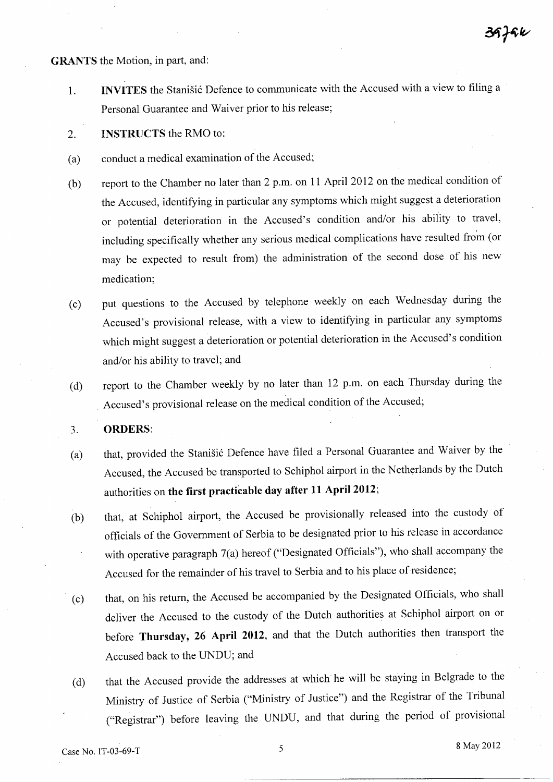**GRANTS** the Motion, in part, and:

- 1. **INVITES** the Stanisic Defence to communicate with the Accused with a view to filing a Personal Guarantee and Waiver prior to his release;
- 2. **INSTRUCTS** the RMO to:
- (a) conduct a medical examination of the Accused;
- (b) report to the Chamber no later than 2 p.m. on **11** April 2012 on the medical condition of the Accused, identifying in particular any symptoms which might suggest a deterioration or potential deterioration in the Accused's condition and/or his ability to travel, including specifically whether any serious medical complications have resulted from (or may be expected to result from) the administration of the second dose of his new medication;
- (c) put questions to the Accused by telephone weekly on each Wednesday during the Accused's provisional release, with a view to identifying in particular any symptoms which might suggest a deterioration or potential deterioration in the Accused's condition and/or his ability to travel; and
- (d) report to the Chamber weekly by no later than 12 p.m. on each Thursday during the Accused's provisional release on the medical condition of the Accused;
- 3. **ORDERS:**
- (a) that, provided the Stanisic Defence have filed a Personal Guarantee and Waiver by the Accused, the Accused be transported to Schiphol airport in the Netherlands by the Dutch authorities on **the first practicable day after 11** April 2012;
- (b) that, at Schiphol airport, the Accused be provisionally released into the custody of officials of the Government of Serbia to be designated prior to his release in accordance with operative paragraph 7(a) hereof ("Designated Officials"), who shall accompany the Accused for the remainder of his travel to Serbia and to his place of residence;
- (c) that, on his return, the Accused be accompanied by the Designated Officials, who shall deliver the Accused to the custody of the Dutch authorities at Schiphol airport on or before **Thursday, 26 April 2012,** and that the Dutch authorities then transport the Accused back to the UNDU; and
- (d) that the Accused provide the addresses at which he will be staying in Belgrade to the Ministry of Justice of Serbia ("Ministry of Justice") and the Registrar of the Tribunal ("Registrar") before leaving the UNDU, and that during the period of provisional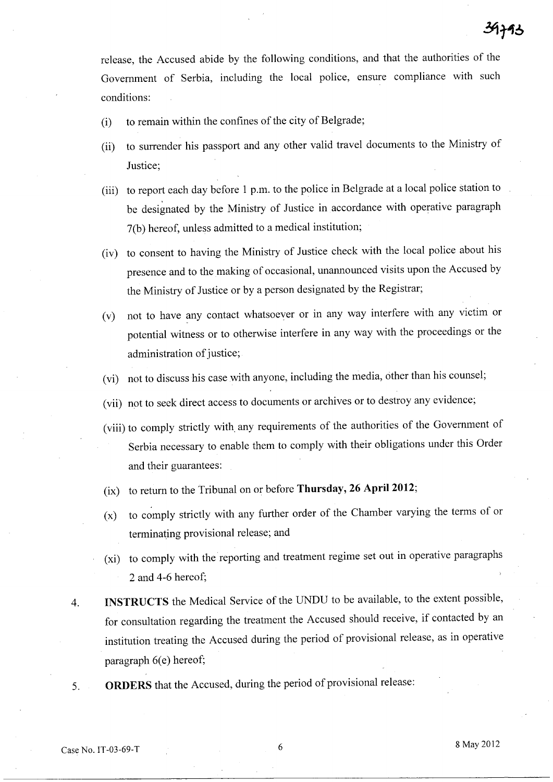release, the Accused abide by the following conditions, and that the authorities of the Government of Serbia, including the local police, ensure compliance with such conditions:

- (i) to remain within the confines of the city of Belgrade;
- (ii) to surrender his passport and any other valid travel documents to the Ministry of Justice;
- (iii) to report each day before 1 p.m. to the police in Belgrade at a local police station to be designated by the Ministry of Justice in accordance with operative paragraph 7(b) hereof, unless admitted to a medical institution;
- (iv) to consent to having the Ministry of Justice check with the local police about his presence and to the making of occasional, unannounced visits upon the Accused by the Ministry of Justice or by a person designated by the Registrar;
- (v) not to have any contact whatsoever or in any way interfere with any victim or potential witness or to otherwise interfere in any way with the proceedings or the administration of justice;
- (vi) not to discuss his case with anyone, including the media, other than his counsel;
- (vii) not to seek direct access to documents or archives or to destroy any evidence;
- (viii) to comply strictly with, any requirements of the authorities of the Government of Serbia necessary to enable them to comply with their obligations under this Order and their guarantees:
- (ix) to return to the Tribunal on or before **Thursday, 26** April 2012;
- (x) to comply strictly with any further order of the Chamber varying the terms of or terminating provisional release; and
- (xi) to comply with the reporting and treatment regime set out in operative paragraphs 2 and 4-6 hereof;
- 4. **INSTRUCTS** the Medical Service of the UNDU to be available, to the extent possible, for consultation regarding the treatment the Accused should receive, if contacted by an institution treating the Accused during the period of provisional release, as in operative paragraph 6(e) hereof;
- 5. **ORDERS** that the Accused, during the period of provisional release: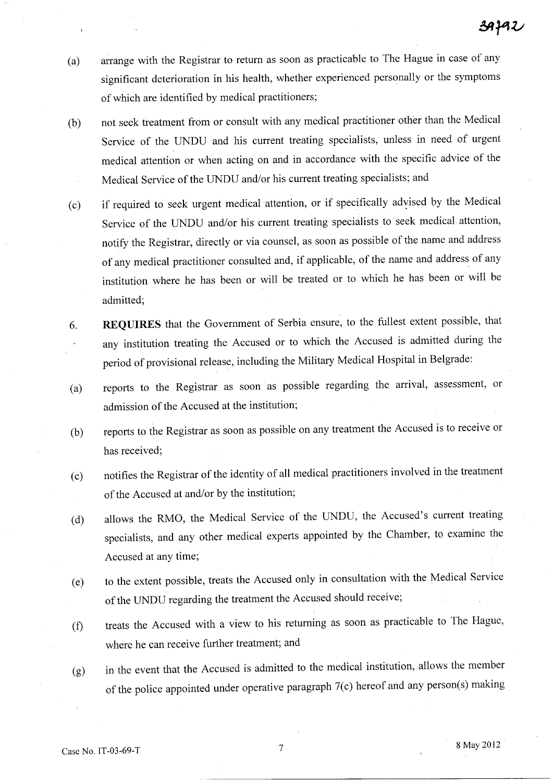- (a) arrange with the Registrar to return as soon as practicable to The Hague in case of any significant deterioration in his health, whether experienced personally or the symptoms of which are identified by medical practitioners;
- (b) not seek treatment from or consult with any medical practitioner other than the Medical Service of the UNDU and his current treating specialists, unless in need of urgent medical attention or when acting on and in accordance with the specific advice of the Medical Service of the UNDU and/or his current treating specialists; and
- (c) if required to seek urgent medical attention, or if specifically advised by the Medical Service of the UNDU and/or his current treating specialists to seek medical attention, notify the Registrar, directly or via counsel, as soon as possible of the name and address of any medical practitioner consulted and, if applicable, of the name and address of any institution where he has been or will be treated or to which he has been or will be admitted;
- 6. **REQUIRES** that the Government of Serbia ensure, to the fullest extent possible, that any institution treating the Accused or to which the Accused is admitted during the period of provisional release, including the Military Medical Hospital in Belgrade:
- (a) reports to the Registrar as soon as possible regarding the arrival, assessment, or admission of the Accused at the institution;
- (b) reports to the Registrar as soon as possible on any treatment the Accused is to receive or has received;
- (c) notifies the Registrar of the identity of all medical practitioners involved in the treatment of the Accused at and/or by the institution;
- (d) allows the RMO, the Medical Service of the UNDU, the Accused's current treating specialists, and any other medical experts appointed by the Chamber, to examine the Accused at any time;
- (e) to the extent possible, treats the Accused only in consultation with the Medical Service of the UNDU regarding the treatment the Accused should receive;
- (t) treats the Accused with a view to his returning as soon as practicable to The Hague, where he can receive further treatment; and
- (g) in the event that the Accused is admitted to the medical institution, allows the member of the police appointed under operative paragraph 7(c) hereof and any person(s) making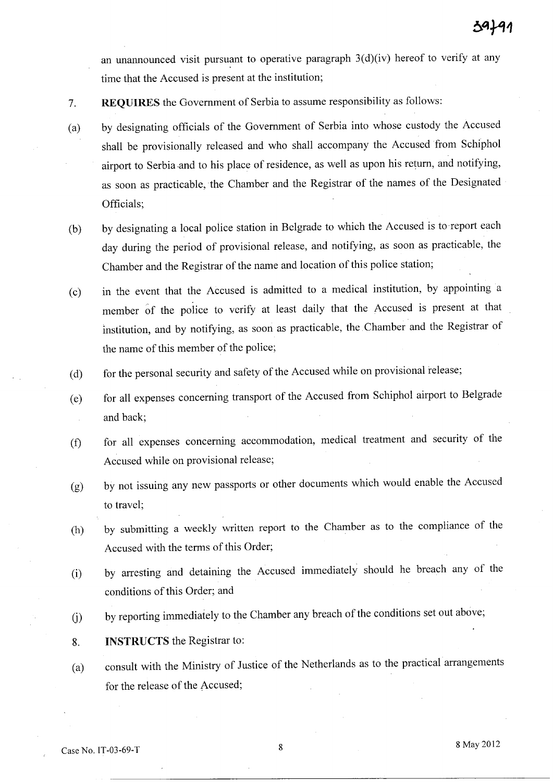an unannounced visit pursuant to operative paragraph 3(d)(iv) hereof to verify at any time that the Accused is present at the institution;

- 7. **REQUIRES** the Government of Serbia to assume responsibility as follows:
- (a) by designating officials of the Government of Serbia into whose custody the Accused shall be provisionally released and who shall accompany the Accused from Schiphol airport to Serbia .and to his place of residence, as well as upon his return, and notifying, as soon as practicable, the Chamber and the Registrar of the names of the Designated Officials;
- (b) by designating a local police station in Belgrade to which the Accused is to -report each day during the period of provisional release, and notifying, as soon as practicable, the Chamber and the Registrar of the name and location of this police station;
- (c) in the event that the Accused is admitted to a medical institution, by appointing a member of the police to verify at least daily that the Accused is present at that institution, and by notifying, as soon as practicable, the. Chamber and the Registrar of the name of this member of the police;
- (d) for the personal security and safety of the Accused while on provisional release;
- (e) for all expenses concerning transport of the Accused from Schiphol airport to Belgrade and back;
- (f) for all expenses concerning accommodation, medical treatment and security of the Accused while on provisional release;
- (g) by not issuing any new passports or other documents which would enable the Accused to travel;
- (h) by submitting a weekly written report to the Chamber as to the compliance of the Accused with the terms of this Order;
- (i) by arresting and detaining the Accused immediately should he breach any of the conditions of this Order; and
- (i) by reporting immediately to the Chamber any breach of the conditions set out above;
- 8. **INSTRUCTS** the Registrar to:
- (a) consult with the Ministry of Justice of the Netherlands as to the practical arrangements for the release of the Accused;